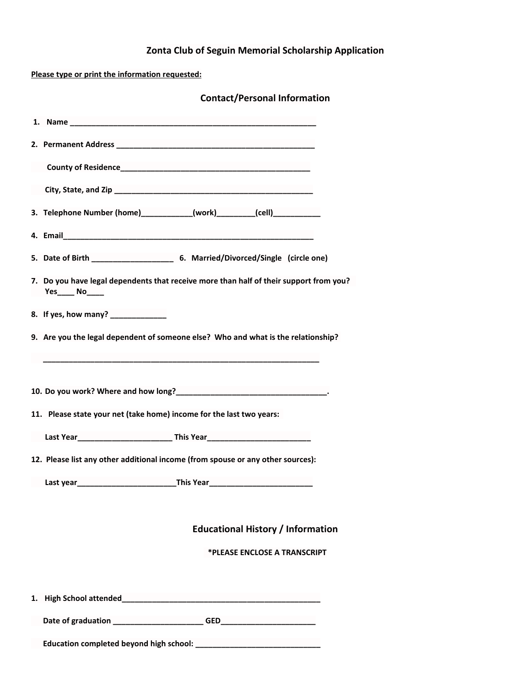## **Zonta Club of Seguin Memorial Scholarship Application**

**Please type or print the information requested:**

**Contact/Personal Information**

| 1.                                                                                                          |  |  |  |
|-------------------------------------------------------------------------------------------------------------|--|--|--|
|                                                                                                             |  |  |  |
|                                                                                                             |  |  |  |
|                                                                                                             |  |  |  |
| 3. Telephone Number (home)____________(work)_________(cell)____________                                     |  |  |  |
|                                                                                                             |  |  |  |
| 5. Date of Birth _________________________ 6. Married/Divorced/Single (circle one)                          |  |  |  |
| 7. Do you have legal dependents that receive more than half of their support from you?<br>Yes______ No_____ |  |  |  |
|                                                                                                             |  |  |  |
| 9. Are you the legal dependent of someone else? Who and what is the relationship?                           |  |  |  |
| 11. Please state your net (take home) income for the last two years:                                        |  |  |  |
|                                                                                                             |  |  |  |
| 12. Please list any other additional income (from spouse or any other sources):                             |  |  |  |
|                                                                                                             |  |  |  |
| <b>Educational History / Information</b><br>*PLEASE ENCLOSE A TRANSCRIPT                                    |  |  |  |
|                                                                                                             |  |  |  |
|                                                                                                             |  |  |  |
|                                                                                                             |  |  |  |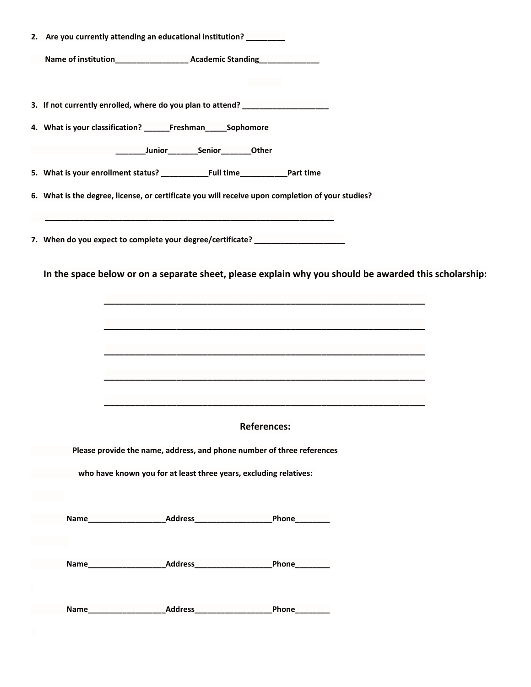|                                                                                                       | 2. Are you currently attending an educational institution? _______                               |  |                                                                        |  |  |
|-------------------------------------------------------------------------------------------------------|--------------------------------------------------------------------------------------------------|--|------------------------------------------------------------------------|--|--|
|                                                                                                       |                                                                                                  |  |                                                                        |  |  |
|                                                                                                       | 3. If not currently enrolled, where do you plan to attend? _____________________                 |  |                                                                        |  |  |
|                                                                                                       | 4. What is your classification? _______Freshman______Sophomore                                   |  |                                                                        |  |  |
| _____________Junior____________Senior__________Other                                                  |                                                                                                  |  |                                                                        |  |  |
|                                                                                                       |                                                                                                  |  |                                                                        |  |  |
|                                                                                                       | 6. What is the degree, license, or certificate you will receive upon completion of your studies? |  |                                                                        |  |  |
|                                                                                                       |                                                                                                  |  |                                                                        |  |  |
|                                                                                                       | 7. When do you expect to complete your degree/certificate? _____________________                 |  |                                                                        |  |  |
| In the space below or on a separate sheet, please explain why you should be awarded this scholarship: |                                                                                                  |  |                                                                        |  |  |
|                                                                                                       |                                                                                                  |  |                                                                        |  |  |
|                                                                                                       |                                                                                                  |  |                                                                        |  |  |
|                                                                                                       |                                                                                                  |  |                                                                        |  |  |
|                                                                                                       |                                                                                                  |  | <b>References:</b>                                                     |  |  |
|                                                                                                       |                                                                                                  |  |                                                                        |  |  |
|                                                                                                       |                                                                                                  |  | Please provide the name, address, and phone number of three references |  |  |
|                                                                                                       | who have known you for at least three years, excluding relatives:                                |  |                                                                        |  |  |
|                                                                                                       |                                                                                                  |  |                                                                        |  |  |
|                                                                                                       |                                                                                                  |  |                                                                        |  |  |
|                                                                                                       |                                                                                                  |  |                                                                        |  |  |
|                                                                                                       |                                                                                                  |  |                                                                        |  |  |
|                                                                                                       |                                                                                                  |  |                                                                        |  |  |
|                                                                                                       | Phone Phone                                                                                      |  |                                                                        |  |  |